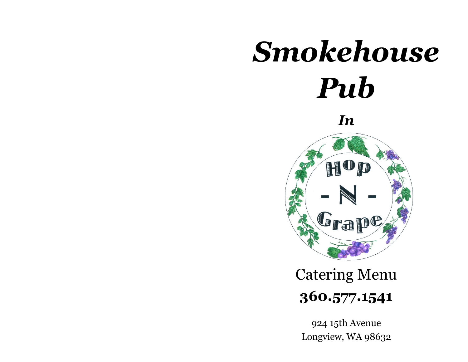# *Smokehouse Pub*

*In*



# **360.577.1541** Catering Menu

924 15th Avenue Longview, WA 98632